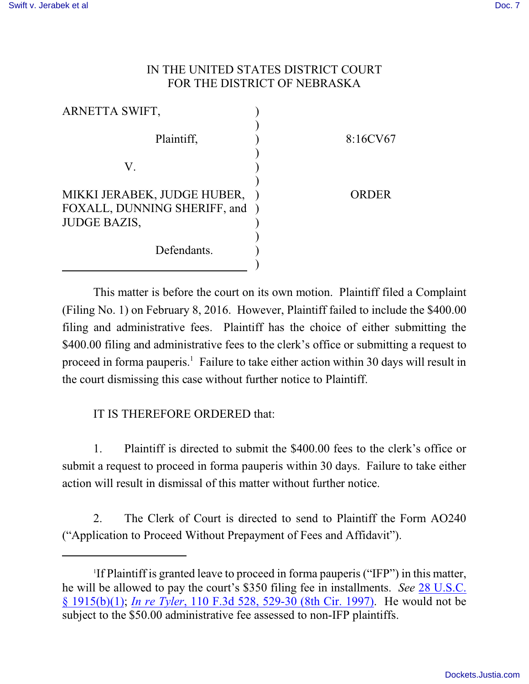## IN THE UNITED STATES DISTRICT COURT FOR THE DISTRICT OF NEBRASKA

| ARNETTA SWIFT,                                                |          |
|---------------------------------------------------------------|----------|
| Plaintiff,                                                    | 8:16CV67 |
| V.                                                            |          |
| MIKKI JERABEK, JUDGE HUBER,<br>FOXALL, DUNNING SHERIFF, and ) | ORDER    |
| <b>JUDGE BAZIS,</b>                                           |          |
| Defendants.                                                   |          |

This matter is before the court on its own motion. Plaintiff filed a Complaint (Filing No. 1) on February 8, 2016. However, Plaintiff failed to include the \$400.00 filing and administrative fees. Plaintiff has the choice of either submitting the \$400.00 filing and administrative fees to the clerk's office or submitting a request to proceed in forma pauperis.<sup>1</sup> Failure to take either action within 30 days will result in the court dismissing this case without further notice to Plaintiff.

## IT IS THEREFORE ORDERED that:

1. Plaintiff is directed to submit the \$400.00 fees to the clerk's office or submit a request to proceed in forma pauperis within 30 days. Failure to take either action will result in dismissal of this matter without further notice.

2. The Clerk of Court is directed to send to Plaintiff the Form AO240 ("Application to Proceed Without Prepayment of Fees and Affidavit").

<sup>1</sup> If Plaintiff is granted leave to proceed in forma pauperis ("IFP") in this matter, he will be allowed to pay the court's \$350 filing fee in installments. *See* [28 U.S.C.](https://web2.westlaw.com/find/default.wl?cite=28+usc+1915&rs=WLW14.10&vr=2.0&rp=%2ffind%2fdefault.wl&utid=2&fn=_top&mt=EighthCircuit&sv=Split) [§ 1915\(b\)\(1\)](https://web2.westlaw.com/find/default.wl?cite=28+usc+1915&rs=WLW14.10&vr=2.0&rp=%2ffind%2fdefault.wl&utid=2&fn=_top&mt=EighthCircuit&sv=Split); *In re Tyler*[, 110 F.3d 528, 529-30 \(8th Cir. 1997\)](https://web2.westlaw.com/find/default.wl?cite=110+F.3d+528&rs=WLW14.10&vr=2.0&rp=%2ffind%2fdefault.wl&utid=2&fn=_top&mt=EighthCircuit&sv=Split). He would not be subject to the \$50.00 administrative fee assessed to non-IFP plaintiffs.